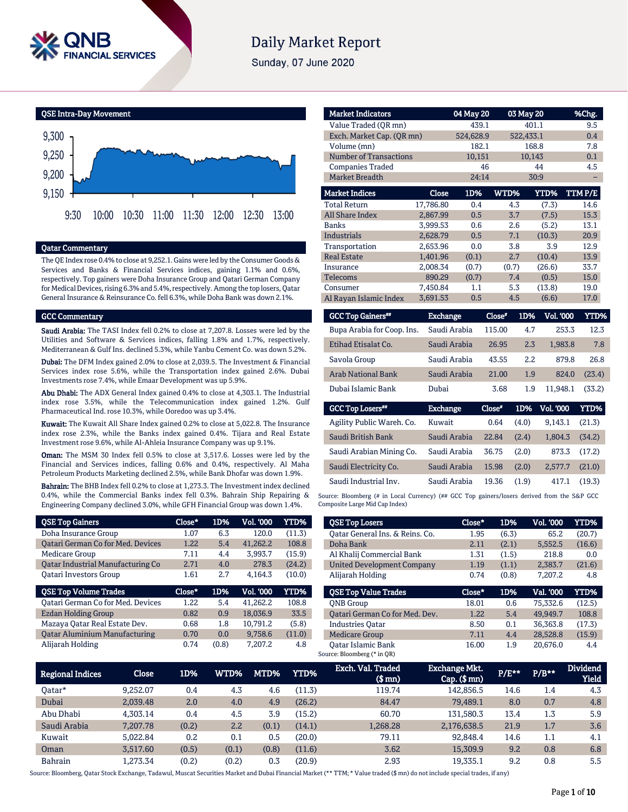

# **Daily Market Report**

Sunday, 07 June 2020

QSE Intra-Day Movement



#### Qatar Commentary

The QE Index rose 0.4% to close at 9,252.1. Gains were led by the Consumer Goods & Services and Banks & Financial Services indices, gaining 1.1% and 0.6%, respectively. Top gainers were Doha Insurance Group and Qatari German Company for Medical Devices, rising 6.3% and 5.4%, respectively. Among the top losers, Qatar General Insurance & Reinsurance Co. fell 6.3%, while Doha Bank was down 2.1%.

#### GCC Commentary

Saudi Arabia: The TASI Index fell 0.2% to close at 7,207.8. Losses were led by the Utilities and Software & Services indices, falling 1.8% and 1.7%, respectively. Mediterranean & Gulf Ins. declined 5.3%, while Yanbu Cement Co. was down 5.2%.

Dubai: The DFM Index gained 2.0% to close at 2,039.5. The Investment & Financial Services index rose 5.6%, while the Transportation index gained 2.6%. Dubai Investments rose 7.4%, while Emaar Development was up 5.9%.

Abu Dhabi: The ADX General Index gained 0.4% to close at 4,303.1. The Industrial index rose 3.5%, while the Telecommunication index gained 1.2%. Gulf Pharmaceutical Ind. rose 10.3%, while Ooredoo was up 3.4%.

Kuwait: The Kuwait All Share Index gained 0.2% to close at 5,022.8. The Insurance index rose 2.3%, while the Banks index gained 0.4%. Tijara and Real Estate Investment rose 9.6%, while Al-Ahleia Insurance Company was up 9.1%.

Oman: The MSM 30 Index fell 0.5% to close at 3,517.6. Losses were led by the Financial and Services indices, falling 0.6% and 0.4%, respectively. Al Maha Petroleum Products Marketing declined 2.5%, while Bank Dhofar was down 1.9%.

Bahrain: The BHB Index fell 0.2% to close at 1,273.3. The Investment index declined 0.4%, while the Commercial Banks index fell 0.3%. Bahrain Ship Repairing & Engineering Company declined 3.0%, while GFH Financial Group was down 1.4%.

| <b>QSE Top Gainers</b>                   | Close* | 1D% | Vol. '000 | YTD%   |
|------------------------------------------|--------|-----|-----------|--------|
| Doha Insurance Group                     | 1.07   | 6.3 | 120.0     | (11.3) |
| <b>Qatari German Co for Med. Devices</b> | 1.22   | 5.4 | 41,262.2  | 108.8  |
| Medicare Group                           | 7.11   | 4.4 | 3,993.7   | (15.9) |
| <b>Qatar Industrial Manufacturing Co</b> | 2.71   | 4.0 | 278.3     | (24.2) |
| <b>Oatari Investors Group</b>            | 1.61   | 2.7 | 4.164.3   | (10.0) |
|                                          |        |     |           |        |
| <b>QSE Top Volume Trades</b>             | Close* | 1D% | Vol. '000 | YTD%   |
| <b>Qatari German Co for Med. Devices</b> | 1.22   | 5.4 | 41.262.2  | 108.8  |
| <b>Ezdan Holding Group</b>               | 0.82   | 0.9 | 18,036.9  | 33.5   |
| Mazaya Qatar Real Estate Dev.            | 0.68   | 1.8 | 10,791.2  | (5.8)  |
| <b>Qatar Aluminium Manufacturing</b>     | 0.70   | 0.0 | 9,758.6   | (11.0) |

| <b>Market Indicators</b>      |           | 04 May 20 |       | 03 May 20 | %Chg.  |
|-------------------------------|-----------|-----------|-------|-----------|--------|
| Value Traded (OR mn)          |           | 439.1     |       | 401.1     | 9.5    |
| Exch. Market Cap. (QR mn)     |           | 524,628.9 |       | 522,433.1 | 0.4    |
| Volume (mn)                   |           | 182.1     |       | 168.8     | 7.8    |
| <b>Number of Transactions</b> |           | 10,151    |       | 10,143    | 0.1    |
| <b>Companies Traded</b>       |           | 46        |       | 44        | 4.5    |
| <b>Market Breadth</b>         |           | 24:14     |       | 30:9      |        |
| <b>Market Indices</b>         | Close     | 1D%       | WTD%  | YTD%      | TTMP/E |
| <b>Total Return</b>           | 17,786.80 | 0.4       | 4.3   | (7.3)     | 14.6   |
| All Share Index               | 2,867.99  | 0.5       | 3.7   | (7.5)     | 15.3   |
| <b>Banks</b>                  | 3.999.53  | 0.6       | 2.6   | (5.2)     | 13.1   |
| <b>Industrials</b>            | 2,628.79  | 0.5       | 7.1   | (10.3)    | 20.9   |
| Transportation                | 2.653.96  | 0.0       | 3.8   | 3.9       | 12.9   |
| <b>Real Estate</b>            | 1,401.96  | (0.1)     | 2.7   | (10.4)    | 13.9   |
| Insurance                     | 2,008.34  | (0.7)     | (0.7) | (26.6)    | 33.7   |
| Telecoms                      | 890.29    | (0.7)     | 7.4   | (0.5)     | 15.0   |
| Consumer                      | 7,450.84  | 1.1       | 5.3   | (13.8)    | 19.0   |
| Al Rayan Islamic Index        | 3.691.53  | 0.5       | 4.5   | (6.6)     | 17.0   |

| <b>GCC Top Gainers</b> "   | <b>Exchange</b> | Close* | 1D%  | <b>Vol. '000</b> | YTD%   |
|----------------------------|-----------------|--------|------|------------------|--------|
| Bupa Arabia for Coop. Ins. | Saudi Arabia    | 115.00 | 4.7  | 253.3            | 12.3   |
| Etihad Etisalat Co.        | Saudi Arabia    | 26.95  | 2.3  | 1,983.8          | 7.8    |
| Savola Group               | Saudi Arabia    | 43.55  | 2.2. | 879.8            | 26.8   |
| <b>Arab National Bank</b>  | Saudi Arabia    | 21.00  | 1.9  | 824.0            | (23.4) |
| Dubai Islamic Bank         | Dubai           | 3.68   | 1.9  | 11.948.1         | (33.2) |

| <b>GCC Top Losers**</b>   | <b>Exchange</b> | Close* | 1D%   | <b>Vol. '000</b> | YTD%   |
|---------------------------|-----------------|--------|-------|------------------|--------|
| Agility Public Wareh. Co. | Kuwait          | 0.64   | (4.0) | 9.143.1          | (21.3) |
| Saudi British Bank        | Saudi Arabia    | 22.84  | (2.4) | 1,804.3          | (34.2) |
| Saudi Arabian Mining Co.  | Saudi Arabia    | 36.75  | (2.0) | 873.3            | (17.2) |
| Saudi Electricity Co.     | Saudi Arabia    | 15.98  | (2.0) | 2.577.7          | (21.0) |
| Saudi Industrial Inv.     | Saudi Arabia    | 19.36  | (1.9) | 417.1            | (19.3) |

Source: Bloomberg (# in Local Currency) (## GCC Top gainers/losers derived from the S&P GCC Composite Large Mid Cap Index)

| <b>QSE Top Losers</b>             | Close* | 1D%   | <b>Vol. '000</b> | YTD%        |
|-----------------------------------|--------|-------|------------------|-------------|
| Oatar General Ins. & Reins. Co.   | 1.95   | (6.3) | 65.2             | (20.7)      |
| Doha Bank                         | 2.11   | (2.1) | 5,552.5          | (16.6)      |
| Al Khalij Commercial Bank         | 1.31   | (1.5) | 218.8            | 0.0         |
| <b>United Development Company</b> | 1.19   | (1.1) | 2,383.7          | (21.6)      |
| Alijarah Holding                  | 0.74   | (0.8) | 7.207.2          | 4.8         |
|                                   |        |       |                  |             |
| <b>QSE Top Value Trades</b>       | Close* | 1D%   | Val. '000        | <b>YTD%</b> |
| <b>ONB</b> Group                  | 18.01  | 0.6   | 75.332.6         | (12.5)      |
| Oatari German Co for Med. Dev.    | 1.22   | 5.4   | 49.949.7         | 108.8       |
| <b>Industries Oatar</b>           | 8.50   | 0.1   | 36.363.8         | (17.3)      |
| <b>Medicare Group</b>             | 7.11   | 4.4   | 28,528.8         | (15.9)      |

| <b>Regional Indices</b> | <b>Close</b> | 1D%   | WTD%  | MTD%  | YTD%   | Exch. Val. Traded<br>$$$ mn $)$ | <b>Exchange Mkt.</b><br>$Cap.$ $(\$$ mn) | $P/E***$ | $P/B**$ | <b>Dividend</b><br><b>Yield</b> |
|-------------------------|--------------|-------|-------|-------|--------|---------------------------------|------------------------------------------|----------|---------|---------------------------------|
| Oatar*                  | 9.252.07     | 0.4   | 4.3   | 4.6   | (11.3) | 119.74                          | 142.856.5                                | 14.6     | 1.4     | 4.3                             |
| Dubai                   | 2.039.48     | 2.0   | 4.0   | 4.9   | (26.2) | 84.47                           | 79.489.1                                 | 8.0      | 0.7     | 4.8                             |
| Abu Dhabi               | 4.303.14     | 0.4   | 4.5   | 3.9   | (15.2) | 60.70                           | 131.580.3                                | 13.4     | 1.3     | 5.9                             |
| Saudi Arabia            | 7.207.78     | (0.2) | 2.2   | (0.1) | (14.1) | 1,268.28                        | 2,176,638.5                              | 21.9     | 1.7     | 3.6                             |
| Kuwait                  | 5.022.84     | 0.2   | 0.1   | 0.5   | (20.0) | 79.11                           | 92.848.4                                 | 14.6     | 1.1     | 4.1                             |
| Oman                    | 3.517.60     | (0.5) | (0.1) | (0.8) | (11.6) | 3.62                            | 15,309.9                                 | 9.2      | 0.8     | 6.8                             |
| <b>Bahrain</b>          | 1.273.34     | (0.2) | (0.2) | 0.3   | (20.9) | 2.93                            | 19.335.1                                 | 9.2      | 0.8     | 5.5                             |

Source: Bloomberg, Qatar Stock Exchange, Tadawul, Muscat Securities Market and Dubai Financial Market (\*\* TTM; \* Value traded (\$ mn) do not include special trades, if any)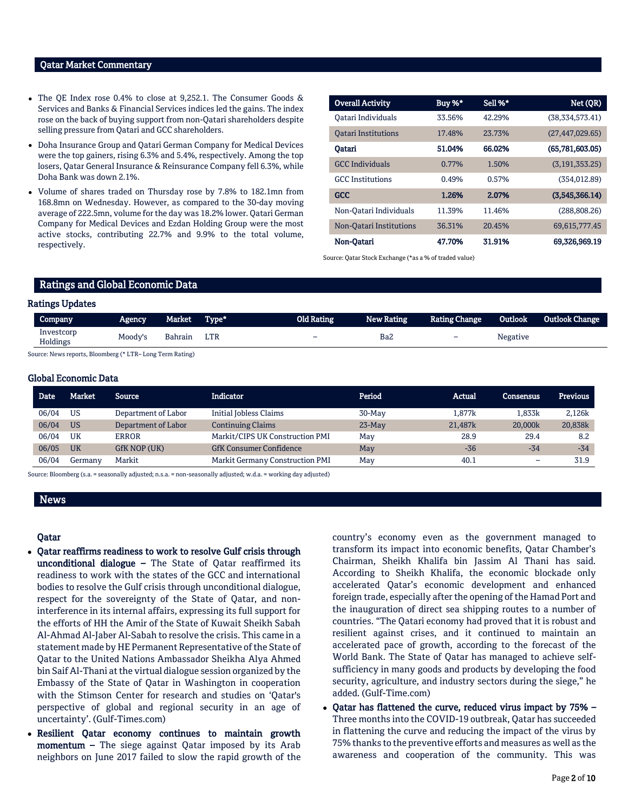#### Qatar Market Commentary

- The QE Index rose 0.4% to close at 9,252.1. The Consumer Goods & Services and Banks & Financial Services indices led the gains. The index rose on the back of buying support from non-Qatari shareholders despite selling pressure from Qatari and GCC shareholders.
- Doha Insurance Group and Qatari German Company for Medical Devices were the top gainers, rising 6.3% and 5.4%, respectively. Among the top losers, Qatar General Insurance & Reinsurance Company fell 6.3%, while Doha Bank was down 2.1%.
- Volume of shares traded on Thursday rose by 7.8% to 182.1mn from 168.8mn on Wednesday. However, as compared to the 30-day moving average of 222.5mn, volume for the day was 18.2% lower. Qatari German Company for Medical Devices and Ezdan Holding Group were the most active stocks, contributing 22.7% and 9.9% to the total volume, respectively.

| <b>Overall Activity</b>    | Buy %* | Sell %* | Net (QR)          |
|----------------------------|--------|---------|-------------------|
| Oatari Individuals         | 33.56% | 42.29%  | (38, 334, 573.41) |
| <b>Oatari Institutions</b> | 17.48% | 23.73%  | (27, 447, 029.65) |
| Oatari                     | 51.04% | 66.02%  | (65,781,603.05)   |
| <b>GCC</b> Individuals     | 0.77%  | 1.50%   | (3, 191, 353, 25) |
| <b>GCC</b> Institutions    | 0.49%  | 0.57%   | (354.012.89)      |
| <b>GCC</b>                 | 1.26%  | 2.07%   | (3,545,366.14)    |
| Non-Qatari Individuals     | 11.39% | 11.46%  | (288, 808.26)     |
| Non-Oatari Institutions    | 36.31% | 20.45%  | 69,615,777.45     |
| Non-Oatari                 | 47.70% | 31.91%  | 69,326,969.19     |

Source: Qatar Stock Exchange (\*as a % of traded value)

### Ratings and Global Economic Data

#### Ratings Updates

| -                           |         |         |       |            |            |                          |          |                |
|-----------------------------|---------|---------|-------|------------|------------|--------------------------|----------|----------------|
| <b>Company</b>              | Agency  | Market  | Tvpe* | Old Rating | New Rating | <b>Rating Change</b>     | Outlook  | Outlook Change |
| Investcorp<br>Holdings      | Moody's | Bahrain | LTR   | -          | Ba2        | $\overline{\phantom{0}}$ | Negative |                |
| $\alpha$ at a minimum model |         |         |       |            |            |                          |          |                |

Source: News reports, Bloomberg (\* LTR– Long Term Rating)

#### Global Economic Data

| Date  | <b>Market</b> | Source              | <b>Indicator</b>                       | Period   | Actual  | Consensus | <b>Previous</b> |
|-------|---------------|---------------------|----------------------------------------|----------|---------|-----------|-----------------|
| 06/04 | US            | Department of Labor | Initial Jobless Claims                 | $30-Mav$ | 1.877k  | 1.833k    | 2,126k          |
| 06/04 | <b>US</b>     | Department of Labor | <b>Continuing Claims</b>               | $23-Mav$ | 21.487k | 20.000k   | 20,838k         |
| 06/04 | UK            | <b>ERROR</b>        | Markit/CIPS UK Construction PMI        | May      | 28.9    | 29.4      | 8.2             |
| 06/05 | <b>UK</b>     | GfK NOP (UK)        | <b>GfK Consumer Confidence</b>         | May      | $-36$   | -34       | $-34$           |
| 06/04 | Germanv       | Markit              | <b>Markit Germany Construction PMI</b> | May      | 40.1    | -         | 31.9            |

Source: Bloomberg (s.a. = seasonally adjusted; n.s.a. = non-seasonally adjusted; w.d.a. = working day adjusted)

#### News

#### Qatar

- Qatar reaffirms readiness to work to resolve Gulf crisis through unconditional dialogue – The State of Qatar reaffirmed its readiness to work with the states of the GCC and international bodies to resolve the Gulf crisis through unconditional dialogue, respect for the sovereignty of the State of Qatar, and noninterference in its internal affairs, expressing its full support for the efforts of HH the Amir of the State of Kuwait Sheikh Sabah Al-Ahmad Al-Jaber Al-Sabah to resolve the crisis. This came in a statement made by HE Permanent Representative of the State of Qatar to the United Nations Ambassador Sheikha Alya Ahmed bin Saif Al-Thani at the virtual dialogue session organized by the Embassy of the State of Qatar in Washington in cooperation with the Stimson Center for research and studies on 'Qatar's perspective of global and regional security in an age of uncertainty'. (Gulf-Times.com)
- Resilient Qatar economy continues to maintain growth momentum – The siege against Qatar imposed by its Arab neighbors on June 2017 failed to slow the rapid growth of the

country's economy even as the government managed to transform its impact into economic benefits, Qatar Chamber's Chairman, Sheikh Khalifa bin Jassim Al Thani has said. According to Sheikh Khalifa, the economic blockade only accelerated Qatar's economic development and enhanced foreign trade, especially after the opening of the Hamad Port and the inauguration of direct sea shipping routes to a number of countries. "The Qatari economy had proved that it is robust and resilient against crises, and it continued to maintain an accelerated pace of growth, according to the forecast of the World Bank. The State of Qatar has managed to achieve selfsufficiency in many goods and products by developing the food security, agriculture, and industry sectors during the siege," he added. (Gulf-Time.com)

 Qatar has flattened the curve, reduced virus impact by 75% – Three months into the COVID-19 outbreak, Qatar has succeeded in flattening the curve and reducing the impact of the virus by 75% thanks to the preventive efforts and measures as well as the awareness and cooperation of the community. This was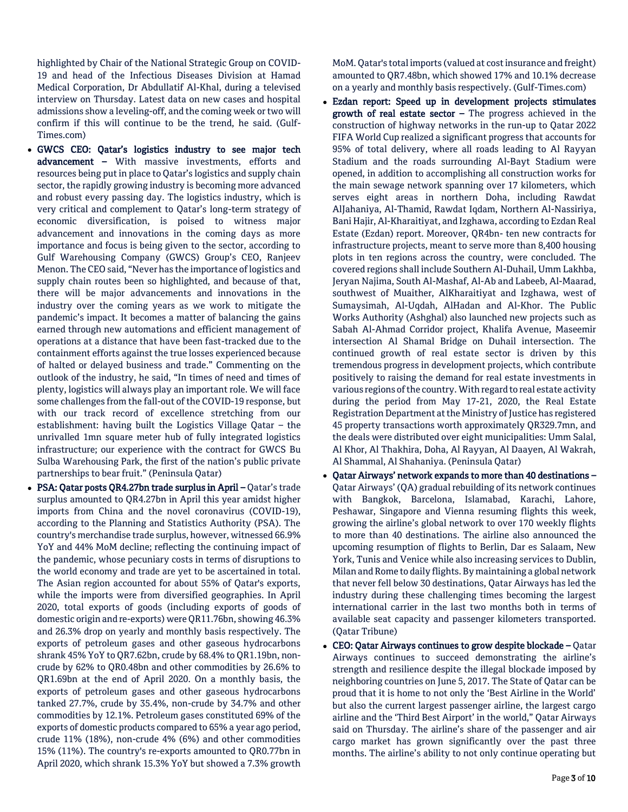highlighted by Chair of the National Strategic Group on COVID-19 and head of the Infectious Diseases Division at Hamad Medical Corporation, Dr Abdullatif Al-Khal, during a televised interview on Thursday. Latest data on new cases and hospital admissions show a leveling-off, and the coming week or two will confirm if this will continue to be the trend, he said. (Gulf-Times.com)

- GWCS CEO: Qatar's logistics industry to see major tech advancement – With massive investments, efforts and resources being put in place to Qatar's logistics and supply chain sector, the rapidly growing industry is becoming more advanced and robust every passing day. The logistics industry, which is very critical and complement to Qatar's long-term strategy of economic diversification, is poised to witness major advancement and innovations in the coming days as more importance and focus is being given to the sector, according to Gulf Warehousing Company (GWCS) Group's CEO, Ranjeev Menon. The CEO said, "Never has the importance of logistics and supply chain routes been so highlighted, and because of that, there will be major advancements and innovations in the industry over the coming years as we work to mitigate the pandemic's impact. It becomes a matter of balancing the gains earned through new automations and efficient management of operations at a distance that have been fast-tracked due to the containment efforts against the true losses experienced because of halted or delayed business and trade." Commenting on the outlook of the industry, he said, "In times of need and times of plenty, logistics will always play an important role. We will face some challenges from the fall-out of the COVID-19 response, but with our track record of excellence stretching from our establishment: having built the Logistics Village Qatar – the unrivalled 1mn square meter hub of fully integrated logistics infrastructure; our experience with the contract for GWCS Bu Sulba Warehousing Park, the first of the nation's public private partnerships to bear fruit." (Peninsula Qatar)
- PSA: Qatar posts QR4.27bn trade surplus in April Qatar's trade surplus amounted to QR4.27bn in April this year amidst higher imports from China and the novel coronavirus (COVID-19), according to the Planning and Statistics Authority (PSA). The country's merchandise trade surplus, however, witnessed 66.9% YoY and 44% MoM decline; reflecting the continuing impact of the pandemic, whose pecuniary costs in terms of disruptions to the world economy and trade are yet to be ascertained in total. The Asian region accounted for about 55% of Qatar's exports, while the imports were from diversified geographies. In April 2020, total exports of goods (including exports of goods of domestic origin and re-exports) were QR11.76bn, showing 46.3% and 26.3% drop on yearly and monthly basis respectively. The exports of petroleum gases and other gaseous hydrocarbons shrank 45% YoY to QR7.62bn, crude by 68.4% to QR1.19bn, noncrude by 62% to QR0.48bn and other commodities by 26.6% to QR1.69bn at the end of April 2020. On a monthly basis, the exports of petroleum gases and other gaseous hydrocarbons tanked 27.7%, crude by 35.4%, non-crude by 34.7% and other commodities by 12.1%. Petroleum gases constituted 69% of the exports of domestic products compared to 65% a year ago period, crude 11% (18%), non-crude 4% (6%) and other commodities 15% (11%). The country's re-exports amounted to QR0.77bn in April 2020, which shrank 15.3% YoY but showed a 7.3% growth

MoM. Qatar's total imports (valued at cost insurance and freight) amounted to QR7.48bn, which showed 17% and 10.1% decrease on a yearly and monthly basis respectively. (Gulf-Times.com)

- Ezdan report: Speed up in development projects stimulates growth of real estate sector  $-$  The progress achieved in the construction of highway networks in the run-up to Qatar 2022 FIFA World Cup realized a significant progress that accounts for 95% of total delivery, where all roads leading to Al Rayyan Stadium and the roads surrounding Al-Bayt Stadium were opened, in addition to accomplishing all construction works for the main sewage network spanning over 17 kilometers, which serves eight areas in northern Doha, including Rawdat AlJahaniya, Al-Thamid, Rawdat Iqdam, Northern Al-Nassiriya, Bani Hajir, Al-Kharaitiyat, and Izghawa, according to Ezdan Real Estate (Ezdan) report. Moreover, QR4bn- ten new contracts for infrastructure projects, meant to serve more than 8,400 housing plots in ten regions across the country, were concluded. The covered regions shall include Southern Al-Duhail, Umm Lakhba, Jeryan Najima, South Al-Mashaf, Al-Ab and Labeeb, Al-Maarad, southwest of Muaither, AlKharaitiyat and Izghawa, west of Sumaysimah, Al-Uqdah, AlHadan and Al-Khor. The Public Works Authority (Ashghal) also launched new projects such as Sabah Al-Ahmad Corridor project, Khalifa Avenue, Maseemir intersection Al Shamal Bridge on Duhail intersection. The continued growth of real estate sector is driven by this tremendous progress in development projects, which contribute positively to raising the demand for real estate investments in various regions of the country. With regard to real estate activity during the period from May 17-21, 2020, the Real Estate Registration Department at the Ministry of Justice has registered 45 property transactions worth approximately QR329.7mn, and the deals were distributed over eight municipalities: Umm Salal, Al Khor, Al Thakhira, Doha, Al Rayyan, Al Daayen, Al Wakrah, Al Shammal, Al Shahaniya. (Peninsula Qatar)
- Qatar Airways' network expands to more than 40 destinations Qatar Airways' (QA) gradual rebuilding of its network continues with Bangkok, Barcelona, Islamabad, Karachi, Lahore, Peshawar, Singapore and Vienna resuming flights this week, growing the airline's global network to over 170 weekly flights to more than 40 destinations. The airline also announced the upcoming resumption of flights to Berlin, Dar es Salaam, New York, Tunis and Venice while also increasing services to Dublin, Milan and Rome to daily flights. By maintaining a global network that never fell below 30 destinations, Qatar Airways has led the industry during these challenging times becoming the largest international carrier in the last two months both in terms of available seat capacity and passenger kilometers transported. (Qatar Tribune)
- CEO: Qatar Airways continues to grow despite blockade Qatar Airways continues to succeed demonstrating the airline's strength and resilience despite the illegal blockade imposed by neighboring countries on June 5, 2017. The State of Qatar can be proud that it is home to not only the 'Best Airline in the World' but also the current largest passenger airline, the largest cargo airline and the 'Third Best Airport' in the world," Qatar Airways said on Thursday. The airline's share of the passenger and air cargo market has grown significantly over the past three months. The airline's ability to not only continue operating but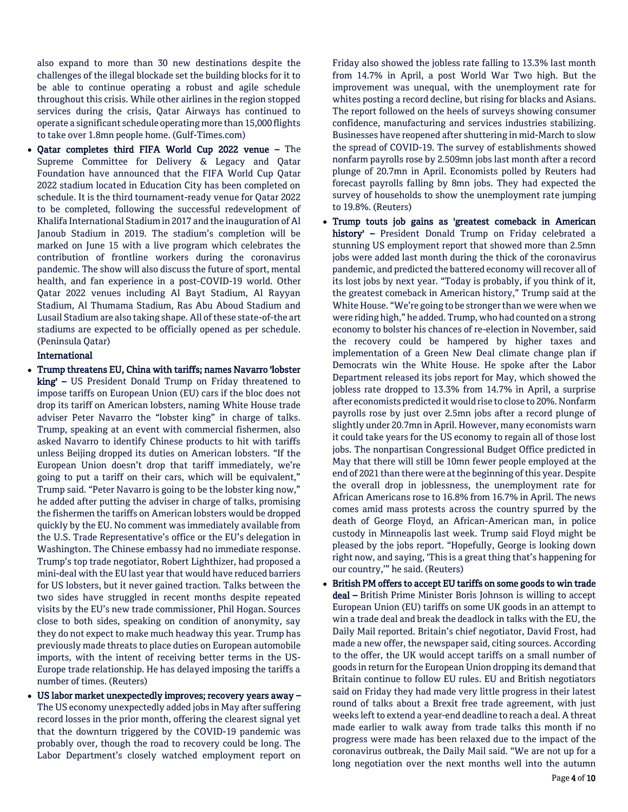also expand to more than 30 new destinations despite the challenges of the illegal blockade set the building blocks for it to be able to continue operating a robust and agile schedule throughout this crisis. While other airlines in the region stopped services during the crisis, Qatar Airways has continued to operate a significant schedule operating more than 15,000 flights to take over 1.8mn people home. (Gulf-Times.com)

 Qatar completes third FIFA World Cup 2022 venue – The Supreme Committee for Delivery & Legacy and Qatar Foundation have announced that the FIFA World Cup Qatar 2022 stadium located in Education City has been completed on schedule. It is the third tournament-ready venue for Qatar 2022 to be completed, following the successful redevelopment of Khalifa International Stadium in 2017 and the inauguration of Al Janoub Stadium in 2019. The stadium's completion will be marked on June 15 with a live program which celebrates the contribution of frontline workers during the coronavirus pandemic. The show will also discuss the future of sport, mental health, and fan experience in a post-COVID-19 world. Other Qatar 2022 venues including Al Bayt Stadium, Al Rayyan Stadium, Al Thumama Stadium, Ras Abu Aboud Stadium and Lusail Stadium are also taking shape. All of these state-of-the art stadiums are expected to be officially opened as per schedule. (Peninsula Qatar)

# International

- Trump threatens EU, China with tariffs; names Navarro 'lobster king' – US President Donald Trump on Friday threatened to impose tariffs on European Union (EU) cars if the bloc does not drop its tariff on American lobsters, naming White House trade adviser Peter Navarro the "lobster king" in charge of talks. Trump, speaking at an event with commercial fishermen, also asked Navarro to identify Chinese products to hit with tariffs unless Beijing dropped its duties on American lobsters. "If the European Union doesn't drop that tariff immediately, we're going to put a tariff on their cars, which will be equivalent," Trump said. "Peter Navarro is going to be the lobster king now," he added after putting the adviser in charge of talks, promising the fishermen the tariffs on American lobsters would be dropped quickly by the EU. No comment was immediately available from the U.S. Trade Representative's office or the EU's delegation in Washington. The Chinese embassy had no immediate response. Trump's top trade negotiator, Robert Lighthizer, had proposed a mini-deal with the EU last year that would have reduced barriers for US lobsters, but it never gained traction. Talks between the two sides have struggled in recent months despite repeated visits by the EU's new trade commissioner, Phil Hogan. Sources close to both sides, speaking on condition of anonymity, say they do not expect to make much headway this year. Trump has previously made threats to place duties on European automobile imports, with the intent of receiving better terms in the US-Europe trade relationship. He has delayed imposing the tariffs a number of times. (Reuters)
- US labor market unexpectedly improves; recovery years away The US economy unexpectedly added jobs in May after suffering record losses in the prior month, offering the clearest signal yet that the downturn triggered by the COVID-19 pandemic was probably over, though the road to recovery could be long. The Labor Department's closely watched employment report on

Friday also showed the jobless rate falling to 13.3% last month from 14.7% in April, a post World War Two high. But the improvement was unequal, with the unemployment rate for whites posting a record decline, but rising for blacks and Asians. The report followed on the heels of surveys showing consumer confidence, manufacturing and services industries stabilizing. Businesses have reopened after shuttering in mid-March to slow the spread of COVID-19. The survey of establishments showed nonfarm payrolls rose by 2.509mn jobs last month after a record plunge of 20.7mn in April. Economists polled by Reuters had forecast payrolls falling by 8mn jobs. They had expected the survey of households to show the unemployment rate jumping to 19.8%. (Reuters)

- Trump touts job gains as 'greatest comeback in American history' - President Donald Trump on Friday celebrated a stunning US employment report that showed more than 2.5mn jobs were added last month during the thick of the coronavirus pandemic, and predicted the battered economy will recover all of its lost jobs by next year. "Today is probably, if you think of it, the greatest comeback in American history," Trump said at the White House. "We're going to be stronger than we were when we were riding high," he added. Trump, who had counted on a strong economy to bolster his chances of re-election in November, said the recovery could be hampered by higher taxes and implementation of a Green New Deal climate change plan if Democrats win the White House. He spoke after the Labor Department released its jobs report for May, which showed the jobless rate dropped to 13.3% from 14.7% in April, a surprise after economists predicted it would rise to close to 20%. Nonfarm payrolls rose by just over 2.5mn jobs after a record plunge of slightly under 20.7mn in April. However, many economists warn it could take years for the US economy to regain all of those lost jobs. The nonpartisan Congressional Budget Office predicted in May that there will still be 10mn fewer people employed at the end of 2021 than there were at the beginning of this year. Despite the overall drop in joblessness, the unemployment rate for African Americans rose to 16.8% from 16.7% in April. The news comes amid mass protests across the country spurred by the death of George Floyd, an African-American man, in police custody in Minneapolis last week. Trump said Floyd might be pleased by the jobs report. "Hopefully, George is looking down right now, and saying, 'This is a great thing that's happening for our country,'" he said. (Reuters)
- British PM offers to accept EU tariffs on some goods to win trade deal – British Prime Minister Boris Johnson is willing to accept European Union (EU) tariffs on some UK goods in an attempt to win a trade deal and break the deadlock in talks with the EU, the Daily Mail reported. Britain's chief negotiator, David Frost, had made a new offer, the newspaper said, citing sources. According to the offer, the UK would accept tariffs on a small number of goods in return for the European Union dropping its demand that Britain continue to follow EU rules. EU and British negotiators said on Friday they had made very little progress in their latest round of talks about a Brexit free trade agreement, with just weeks left to extend a year-end deadline to reach a deal. A threat made earlier to walk away from trade talks this month if no progress were made has been relaxed due to the impact of the coronavirus outbreak, the Daily Mail said. "We are not up for a long negotiation over the next months well into the autumn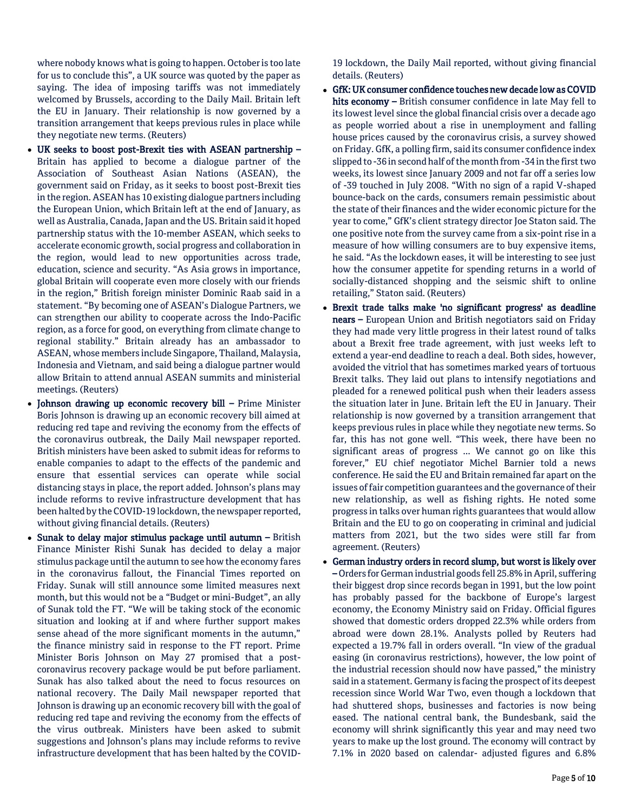where nobody knows what is going to happen. October is too late for us to conclude this", a UK source was quoted by the paper as saying. The idea of imposing tariffs was not immediately welcomed by Brussels, according to the Daily Mail. Britain left the EU in January. Their relationship is now governed by a transition arrangement that keeps previous rules in place while they negotiate new terms. (Reuters)

- UK seeks to boost post-Brexit ties with ASEAN partnership Britain has applied to become a dialogue partner of the Association of Southeast Asian Nations (ASEAN), the government said on Friday, as it seeks to boost post-Brexit ties in the region. ASEAN has 10 existing dialogue partners including the European Union, which Britain left at the end of January, as well as Australia, Canada, Japan and the US. Britain said it hoped partnership status with the 10-member ASEAN, which seeks to accelerate economic growth, social progress and collaboration in the region, would lead to new opportunities across trade, education, science and security. "As Asia grows in importance, global Britain will cooperate even more closely with our friends in the region," British foreign minister Dominic Raab said in a statement. "By becoming one of ASEAN's Dialogue Partners, we can strengthen our ability to cooperate across the Indo-Pacific region, as a force for good, on everything from climate change to regional stability." Britain already has an ambassador to ASEAN, whose members include Singapore, Thailand, Malaysia, Indonesia and Vietnam, and said being a dialogue partner would allow Britain to attend annual ASEAN summits and ministerial meetings. (Reuters)
- Johnson drawing up economic recovery bill Prime Minister Boris Johnson is drawing up an economic recovery bill aimed at reducing red tape and reviving the economy from the effects of the coronavirus outbreak, the Daily Mail newspaper reported. British ministers have been asked to submit ideas for reforms to enable companies to adapt to the effects of the pandemic and ensure that essential services can operate while social distancing stays in place, the report added. Johnson's plans may include reforms to revive infrastructure development that has been halted by the COVID-19 lockdown, the newspaper reported, without giving financial details. (Reuters)
- Sunak to delay major stimulus package until autumn British Finance Minister Rishi Sunak has decided to delay a major stimulus package until the autumn to see how the economy fares in the coronavirus fallout, the Financial Times reported on Friday. Sunak will still announce some limited measures next month, but this would not be a "Budget or mini-Budget", an ally of Sunak told the FT. "We will be taking stock of the economic situation and looking at if and where further support makes sense ahead of the more significant moments in the autumn," the finance ministry said in response to the FT report. Prime Minister Boris Johnson on May 27 promised that a postcoronavirus recovery package would be put before parliament. Sunak has also talked about the need to focus resources on national recovery. The Daily Mail newspaper reported that Johnson is drawing up an economic recovery bill with the goal of reducing red tape and reviving the economy from the effects of the virus outbreak. Ministers have been asked to submit suggestions and Johnson's plans may include reforms to revive infrastructure development that has been halted by the COVID-

19 lockdown, the Daily Mail reported, without giving financial details. (Reuters)

- GfK: UK consumer confidence touches new decade low as COVID hits economy - British consumer confidence in late May fell to its lowest level since the global financial crisis over a decade ago as people worried about a rise in unemployment and falling house prices caused by the coronavirus crisis, a survey showed on Friday. GfK, a polling firm, said its consumer confidence index slipped to -36 in second half of the month from -34 in the first two weeks, its lowest since January 2009 and not far off a series low of -39 touched in July 2008. "With no sign of a rapid V-shaped bounce-back on the cards, consumers remain pessimistic about the state of their finances and the wider economic picture for the year to come," GfK's client strategy director Joe Staton said. The one positive note from the survey came from a six-point rise in a measure of how willing consumers are to buy expensive items, he said. "As the lockdown eases, it will be interesting to see just how the consumer appetite for spending returns in a world of socially-distanced shopping and the seismic shift to online retailing," Staton said. (Reuters)
- Brexit trade talks make 'no significant progress' as deadline nears – European Union and British negotiators said on Friday they had made very little progress in their latest round of talks about a Brexit free trade agreement, with just weeks left to extend a year-end deadline to reach a deal. Both sides, however, avoided the vitriol that has sometimes marked years of tortuous Brexit talks. They laid out plans to intensify negotiations and pleaded for a renewed political push when their leaders assess the situation later in June. Britain left the EU in January. Their relationship is now governed by a transition arrangement that keeps previous rules in place while they negotiate new terms. So far, this has not gone well. "This week, there have been no significant areas of progress ... We cannot go on like this forever," EU chief negotiator Michel Barnier told a news conference. He said the EU and Britain remained far apart on the issues of fair competition guarantees and the governance of their new relationship, as well as fishing rights. He noted some progress in talks over human rights guarantees that would allow Britain and the EU to go on cooperating in criminal and judicial matters from 2021, but the two sides were still far from agreement. (Reuters)
- German industry orders in record slump, but worst is likely over – Orders for German industrial goods fell 25.8% in April, suffering their biggest drop since records began in 1991, but the low point has probably passed for the backbone of Europe's largest economy, the Economy Ministry said on Friday. Official figures showed that domestic orders dropped 22.3% while orders from abroad were down 28.1%. Analysts polled by Reuters had expected a 19.7% fall in orders overall. "In view of the gradual easing (in coronavirus restrictions), however, the low point of the industrial recession should now have passed," the ministry said in a statement. Germany is facing the prospect of its deepest recession since World War Two, even though a lockdown that had shuttered shops, businesses and factories is now being eased. The national central bank, the Bundesbank, said the economy will shrink significantly this year and may need two years to make up the lost ground. The economy will contract by 7.1% in 2020 based on calendar- adjusted figures and 6.8%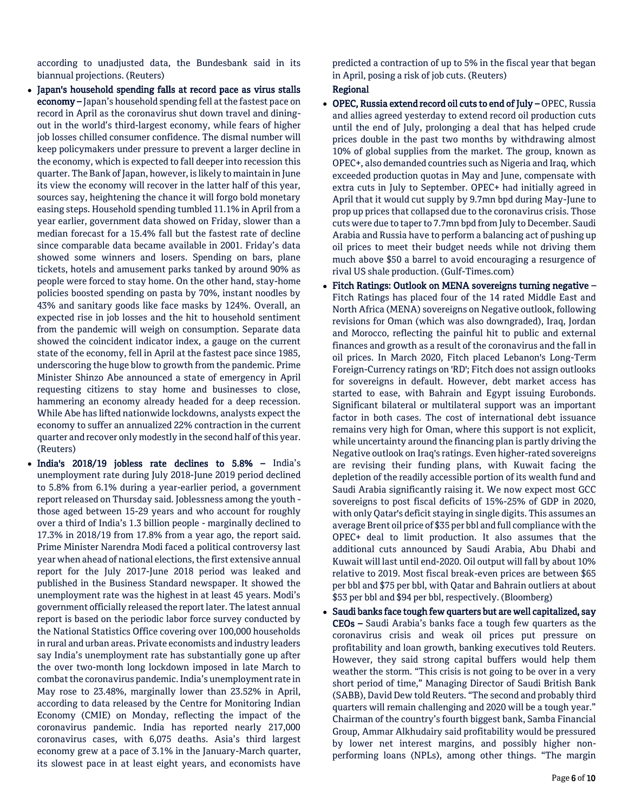according to unadjusted data, the Bundesbank said in its biannual projections. (Reuters)

- Japan's household spending falls at record pace as virus stalls economy – Japan's household spending fell at the fastest pace on record in April as the coronavirus shut down travel and diningout in the world's third-largest economy, while fears of higher job losses chilled consumer confidence. The dismal number will keep policymakers under pressure to prevent a larger decline in the economy, which is expected to fall deeper into recession this quarter. The Bank of Japan, however, is likely to maintain in June its view the economy will recover in the latter half of this year, sources say, heightening the chance it will forgo bold monetary easing steps. Household spending tumbled 11.1% in April from a year earlier, government data showed on Friday, slower than a median forecast for a 15.4% fall but the fastest rate of decline since comparable data became available in 2001. Friday's data showed some winners and losers. Spending on bars, plane tickets, hotels and amusement parks tanked by around 90% as people were forced to stay home. On the other hand, stay-home policies boosted spending on pasta by 70%, instant noodles by 43% and sanitary goods like face masks by 124%. Overall, an expected rise in job losses and the hit to household sentiment from the pandemic will weigh on consumption. Separate data showed the coincident indicator index, a gauge on the current state of the economy, fell in April at the fastest pace since 1985, underscoring the huge blow to growth from the pandemic. Prime Minister Shinzo Abe announced a state of emergency in April requesting citizens to stay home and businesses to close, hammering an economy already headed for a deep recession. While Abe has lifted nationwide lockdowns, analysts expect the economy to suffer an annualized 22% contraction in the current quarter and recover only modestly in the second half of this year. (Reuters)
- $\bullet$  India's 2018/19 jobless rate declines to 5.8% India's unemployment rate during July 2018-June 2019 period declined to 5.8% from 6.1% during a year-earlier period, a government report released on Thursday said. Joblessness among the youth those aged between 15-29 years and who account for roughly over a third of India's 1.3 billion people - marginally declined to 17.3% in 2018/19 from 17.8% from a year ago, the report said. Prime Minister Narendra Modi faced a political controversy last year when ahead of national elections, the first extensive annual report for the July 2017-June 2018 period was leaked and published in the Business Standard newspaper. It showed the unemployment rate was the highest in at least 45 years. Modi's government officially released the report later. The latest annual report is based on the periodic labor force survey conducted by the National Statistics Office covering over 100,000 households in rural and urban areas. Private economists and industry leaders say India's unemployment rate has substantially gone up after the over two-month long lockdown imposed in late March to combat the coronavirus pandemic. India's unemployment rate in May rose to 23.48%, marginally lower than 23.52% in April, according to data released by the Centre for Monitoring Indian Economy (CMIE) on Monday, reflecting the impact of the coronavirus pandemic. India has reported nearly 217,000 coronavirus cases, with 6,075 deaths. Asia's third largest economy grew at a pace of 3.1% in the January-March quarter, its slowest pace in at least eight years, and economists have

predicted a contraction of up to 5% in the fiscal year that began in April, posing a risk of job cuts. (Reuters)

# Regional

- OPEC, Russia extend record oil cuts to end of July OPEC, Russia and allies agreed yesterday to extend record oil production cuts until the end of July, prolonging a deal that has helped crude prices double in the past two months by withdrawing almost 10% of global supplies from the market. The group, known as OPEC+, also demanded countries such as Nigeria and Iraq, which exceeded production quotas in May and June, compensate with extra cuts in July to September. OPEC+ had initially agreed in April that it would cut supply by 9.7mn bpd during May-June to prop up prices that collapsed due to the coronavirus crisis. Those cuts were due to taper to 7.7mn bpd from July to December. Saudi Arabia and Russia have to perform a balancing act of pushing up oil prices to meet their budget needs while not driving them much above \$50 a barrel to avoid encouraging a resurgence of rival US shale production. (Gulf-Times.com)
- Fitch Ratings: Outlook on MENA sovereigns turning negative Fitch Ratings has placed four of the 14 rated Middle East and North Africa (MENA) sovereigns on Negative outlook, following revisions for Oman (which was also downgraded), Iraq, Jordan and Morocco, reflecting the painful hit to public and external finances and growth as a result of the coronavirus and the fall in oil prices. In March 2020, Fitch placed Lebanon's Long-Term Foreign-Currency ratings on 'RD'; Fitch does not assign outlooks for sovereigns in default. However, debt market access has started to ease, with Bahrain and Egypt issuing Eurobonds. Significant bilateral or multilateral support was an important factor in both cases. The cost of international debt issuance remains very high for Oman, where this support is not explicit, while uncertainty around the financing plan is partly driving the Negative outlook on Iraq's ratings. Even higher-rated sovereigns are revising their funding plans, with Kuwait facing the depletion of the readily accessible portion of its wealth fund and Saudi Arabia significantly raising it. We now expect most GCC sovereigns to post fiscal deficits of 15%-25% of GDP in 2020, with only Qatar's deficit staying in single digits. This assumes an average Brent oil price of \$35 per bbl and full compliance with the OPEC+ deal to limit production. It also assumes that the additional cuts announced by Saudi Arabia, Abu Dhabi and Kuwait will last until end-2020. Oil output will fall by about 10% relative to 2019. Most fiscal break-even prices are between \$65 per bbl and \$75 per bbl, with Qatar and Bahrain outliers at about \$53 per bbl and \$94 per bbl, respectively. (Bloomberg)
- Saudi banks face tough few quarters but are well capitalized, say CEOs – Saudi Arabia's banks face a tough few quarters as the coronavirus crisis and weak oil prices put pressure on profitability and loan growth, banking executives told Reuters. However, they said strong capital buffers would help them weather the storm. "This crisis is not going to be over in a very short period of time," Managing Director of Saudi British Bank (SABB), David Dew told Reuters. "The second and probably third quarters will remain challenging and 2020 will be a tough year." Chairman of the country's fourth biggest bank, Samba Financial Group, Ammar Alkhudairy said profitability would be pressured by lower net interest margins, and possibly higher nonperforming loans (NPLs), among other things. "The margin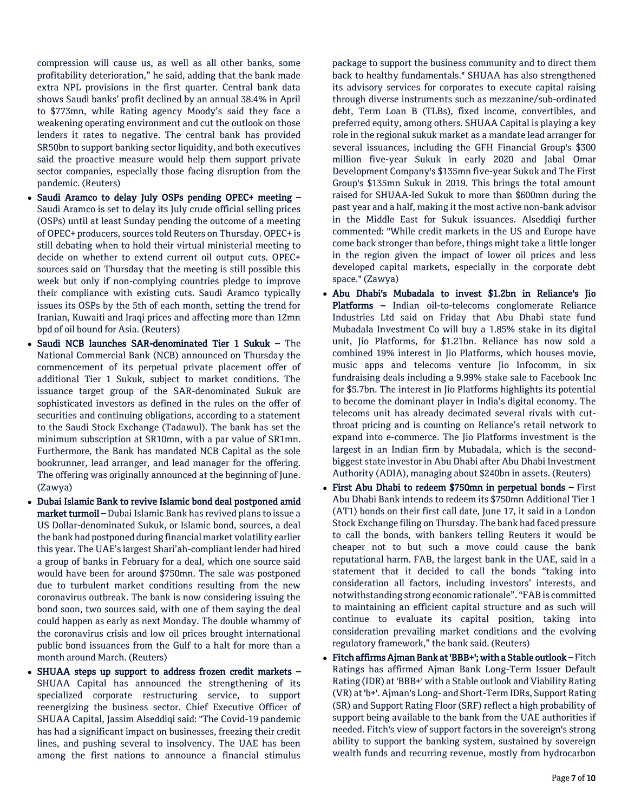compression will cause us, as well as all other banks, some profitability deterioration," he said, adding that the bank made extra NPL provisions in the first quarter. Central bank data shows Saudi banks' profit declined by an annual 38.4% in April to \$773mn, while Rating agency Moody's said they face a weakening operating environment and cut the outlook on those lenders it rates to negative. The central bank has provided SR50bn to support banking sector liquidity, and both executives said the proactive measure would help them support private sector companies, especially those facing disruption from the pandemic. (Reuters)

- Saudi Aramco to delay July OSPs pending OPEC+ meeting Saudi Aramco is set to delay its July crude official selling prices (OSPs) until at least Sunday pending the outcome of a meeting of OPEC+ producers, sources told Reuters on Thursday. OPEC+ is still debating when to hold their virtual ministerial meeting to decide on whether to extend current oil output cuts. OPEC+ sources said on Thursday that the meeting is still possible this week but only if non-complying countries pledge to improve their compliance with existing cuts. Saudi Aramco typically issues its OSPs by the 5th of each month, setting the trend for Iranian, Kuwaiti and Iraqi prices and affecting more than 12mn bpd of oil bound for Asia. (Reuters)
- Saudi NCB launches SAR-denominated Tier 1 Sukuk The National Commercial Bank (NCB) announced on Thursday the commencement of its perpetual private placement offer of additional Tier 1 Sukuk, subject to market conditions. The issuance target group of the SAR-denominated Sukuk are sophisticated investors as defined in the rules on the offer of securities and continuing obligations, according to a statement to the Saudi Stock Exchange (Tadawul). The bank has set the minimum subscription at SR10mn, with a par value of SR1mn. Furthermore, the Bank has mandated NCB Capital as the sole bookrunner, lead arranger, and lead manager for the offering. The offering was originally announced at the beginning of June. (Zawya)
- Dubai Islamic Bank to revive Islamic bond deal postponed amid market turmoil – Dubai Islamic Bank has revived plans to issue a US Dollar-denominated Sukuk, or Islamic bond, sources, a deal the bank had postponed during financial market volatility earlier this year. The UAE's largest Shari'ah-compliant lender had hired a group of banks in February for a deal, which one source said would have been for around \$750mn. The sale was postponed due to turbulent market conditions resulting from the new coronavirus outbreak. The bank is now considering issuing the bond soon, two sources said, with one of them saying the deal could happen as early as next Monday. The double whammy of the coronavirus crisis and low oil prices brought international public bond issuances from the Gulf to a halt for more than a month around March. (Reuters)
- SHUAA steps up support to address frozen credit markets SHUAA Capital has announced the strengthening of its specialized corporate restructuring service, to support reenergizing the business sector. Chief Executive Officer of SHUAA Capital, Jassim Alseddiqi said: "The Covid-19 pandemic has had a significant impact on businesses, freezing their credit lines, and pushing several to insolvency. The UAE has been among the first nations to announce a financial stimulus

package to support the business community and to direct them back to healthy fundamentals." SHUAA has also strengthened its advisory services for corporates to execute capital raising through diverse instruments such as mezzanine/sub-ordinated debt, Term Loan B (TLBs), fixed income, convertibles, and preferred equity, among others. SHUAA Capital is playing a key role in the regional sukuk market as a mandate lead arranger for several issuances, including the GFH Financial Group's \$300 million five-year Sukuk in early 2020 and Jabal Omar Development Company's \$135mn five-year Sukuk and The First Group's \$135mn Sukuk in 2019. This brings the total amount raised for SHUAA-led Sukuk to more than \$600mn during the past year and a half, making it the most active non-bank advisor in the Middle East for Sukuk issuances. Alseddiqi further commented: "While credit markets in the US and Europe have come back stronger than before, things might take a little longer in the region given the impact of lower oil prices and less developed capital markets, especially in the corporate debt space." (Zawya)

- Abu Dhabi's Mubadala to invest \$1.2bn in Reliance's Jio Platforms – Indian oil-to-telecoms conglomerate Reliance Industries Ltd said on Friday that Abu Dhabi state fund Mubadala Investment Co will buy a 1.85% stake in its digital unit, Jio Platforms, for \$1.21bn. Reliance has now sold a combined 19% interest in Jio Platforms, which houses movie, music apps and telecoms venture Jio Infocomm, in six fundraising deals including a 9.99% stake sale to Facebook Inc for \$5.7bn. The interest in Jio Platforms highlights its potential to become the dominant player in India's digital economy. The telecoms unit has already decimated several rivals with cutthroat pricing and is counting on Reliance's retail network to expand into e-commerce. The Jio Platforms investment is the largest in an Indian firm by Mubadala, which is the secondbiggest state investor in Abu Dhabi after Abu Dhabi Investment Authority (ADIA), managing about \$240bn in assets. (Reuters)
- First Abu Dhabi to redeem \$750mn in perpetual bonds First Abu Dhabi Bank intends to redeem its \$750mn Additional Tier 1 (AT1) bonds on their first call date, June 17, it said in a London Stock Exchange filing on Thursday. The bank had faced pressure to call the bonds, with bankers telling Reuters it would be cheaper not to but such a move could cause the bank reputational harm. FAB, the largest bank in the UAE, said in a statement that it decided to call the bonds "taking into consideration all factors, including investors' interests, and notwithstanding strong economic rationale". "FAB is committed to maintaining an efficient capital structure and as such will continue to evaluate its capital position, taking into consideration prevailing market conditions and the evolving regulatory framework," the bank said. (Reuters)
- Fitch affirms Ajman Bank at 'BBB+'; with a Stable outlook Fitch Ratings has affirmed Ajman Bank Long-Term Issuer Default Rating (IDR) at 'BBB+' with a Stable outlook and Viability Rating (VR) at 'b+'. Ajman's Long- and Short-Term IDRs, Support Rating (SR) and Support Rating Floor (SRF) reflect a high probability of support being available to the bank from the UAE authorities if needed. Fitch's view of support factors in the sovereign's strong ability to support the banking system, sustained by sovereign wealth funds and recurring revenue, mostly from hydrocarbon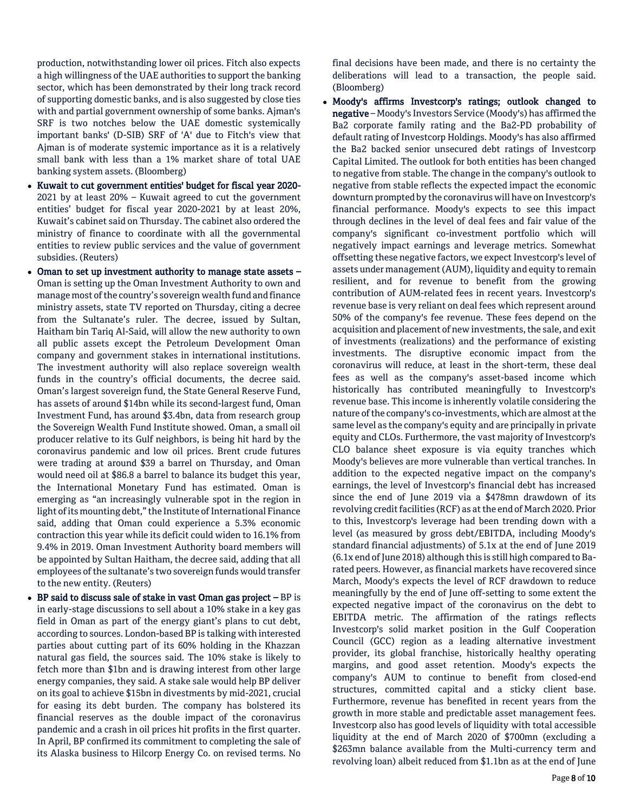production, notwithstanding lower oil prices. Fitch also expects a high willingness of the UAE authorities to support the banking sector, which has been demonstrated by their long track record of supporting domestic banks, and is also suggested by close ties with and partial government ownership of some banks. Ajman's SRF is two notches below the UAE domestic systemically important banks' (D-SIB) SRF of 'A' due to Fitch's view that Ajman is of moderate systemic importance as it is a relatively small bank with less than a 1% market share of total UAE banking system assets. (Bloomberg)

- Kuwait to cut government entities' budget for fiscal year 2020- 2021 by at least 20% – Kuwait agreed to cut the government entities' budget for fiscal year 2020-2021 by at least 20%, Kuwait's cabinet said on Thursday. The cabinet also ordered the ministry of finance to coordinate with all the governmental entities to review public services and the value of government subsidies. (Reuters)
- Oman to set up investment authority to manage state assets Oman is setting up the Oman Investment Authority to own and manage most of the country's sovereign wealth fund and finance ministry assets, state TV reported on Thursday, citing a decree from the Sultanate's ruler. The decree, issued by Sultan, Haitham bin Tariq Al-Said, will allow the new authority to own all public assets except the Petroleum Development Oman company and government stakes in international institutions. The investment authority will also replace sovereign wealth funds in the country's official documents, the decree said. Oman's largest sovereign fund, the State General Reserve Fund, has assets of around \$14bn while its second-largest fund, Oman Investment Fund, has around \$3.4bn, data from research group the Sovereign Wealth Fund Institute showed. Oman, a small oil producer relative to its Gulf neighbors, is being hit hard by the coronavirus pandemic and low oil prices. Brent crude futures were trading at around \$39 a barrel on Thursday, and Oman would need oil at \$86.8 a barrel to balance its budget this year, the International Monetary Fund has estimated. Oman is emerging as "an increasingly vulnerable spot in the region in light of its mounting debt," the Institute of International Finance said, adding that Oman could experience a 5.3% economic contraction this year while its deficit could widen to 16.1% from 9.4% in 2019. Oman Investment Authority board members will be appointed by Sultan Haitham, the decree said, adding that all employees of the sultanate's two sovereign funds would transfer to the new entity. (Reuters)
- BP said to discuss sale of stake in vast Oman gas project BP is in early-stage discussions to sell about a 10% stake in a key gas field in Oman as part of the energy giant's plans to cut debt, according to sources. London-based BP is talking with interested parties about cutting part of its 60% holding in the Khazzan natural gas field, the sources said. The 10% stake is likely to fetch more than \$1bn and is drawing interest from other large energy companies, they said. A stake sale would help BP deliver on its goal to achieve \$15bn in divestments by mid-2021, crucial for easing its debt burden. The company has bolstered its financial reserves as the double impact of the coronavirus pandemic and a crash in oil prices hit profits in the first quarter. In April, BP confirmed its commitment to completing the sale of its Alaska business to Hilcorp Energy Co. on revised terms. No

final decisions have been made, and there is no certainty the deliberations will lead to a transaction, the people said. (Bloomberg)

 Moody's affirms Investcorp's ratings; outlook changed to negative - Moody's Investors Service (Moody's) has affirmed the Ba2 corporate family rating and the Ba2-PD probability of default rating of Investcorp Holdings. Moody's has also affirmed the Ba2 backed senior unsecured debt ratings of Investcorp Capital Limited. The outlook for both entities has been changed to negative from stable. The change in the company's outlook to negative from stable reflects the expected impact the economic downturn prompted by the coronavirus will have on Investcorp's financial performance. Moody's expects to see this impact through declines in the level of deal fees and fair value of the company's significant co-investment portfolio which will negatively impact earnings and leverage metrics. Somewhat offsetting these negative factors, we expect Investcorp's level of assets under management (AUM), liquidity and equity to remain resilient, and for revenue to benefit from the growing contribution of AUM-related fees in recent years. Investcorp's revenue base is very reliant on deal fees which represent around 50% of the company's fee revenue. These fees depend on the acquisition and placement of new investments, the sale, and exit of investments (realizations) and the performance of existing investments. The disruptive economic impact from the coronavirus will reduce, at least in the short-term, these deal fees as well as the company's asset-based income which historically has contributed meaningfully to Investcorp's revenue base. This income is inherently volatile considering the nature of the company's co-investments, which are almost at the same level as the company's equity and are principally in private equity and CLOs. Furthermore, the vast majority of Investcorp's CLO balance sheet exposure is via equity tranches which Moody's believes are more vulnerable than vertical tranches. In addition to the expected negative impact on the company's earnings, the level of Investcorp's financial debt has increased since the end of June 2019 via a \$478mn drawdown of its revolving credit facilities (RCF) as at the end of March 2020. Prior to this, Investcorp's leverage had been trending down with a level (as measured by gross debt/EBITDA, including Moody's standard financial adjustments) of 5.1x at the end of June 2019 (6.1x end of June 2018) although this is still high compared to Barated peers. However, as financial markets have recovered since March, Moody's expects the level of RCF drawdown to reduce meaningfully by the end of June off-setting to some extent the expected negative impact of the coronavirus on the debt to EBITDA metric. The affirmation of the ratings reflects Investcorp's solid market position in the Gulf Cooperation Council (GCC) region as a leading alternative investment provider, its global franchise, historically healthy operating margins, and good asset retention. Moody's expects the company's AUM to continue to benefit from closed-end structures, committed capital and a sticky client base. Furthermore, revenue has benefited in recent years from the growth in more stable and predictable asset management fees. Investcorp also has good levels of liquidity with total accessible liquidity at the end of March 2020 of \$700mn (excluding a \$263mn balance available from the Multi-currency term and revolving loan) albeit reduced from \$1.1bn as at the end of June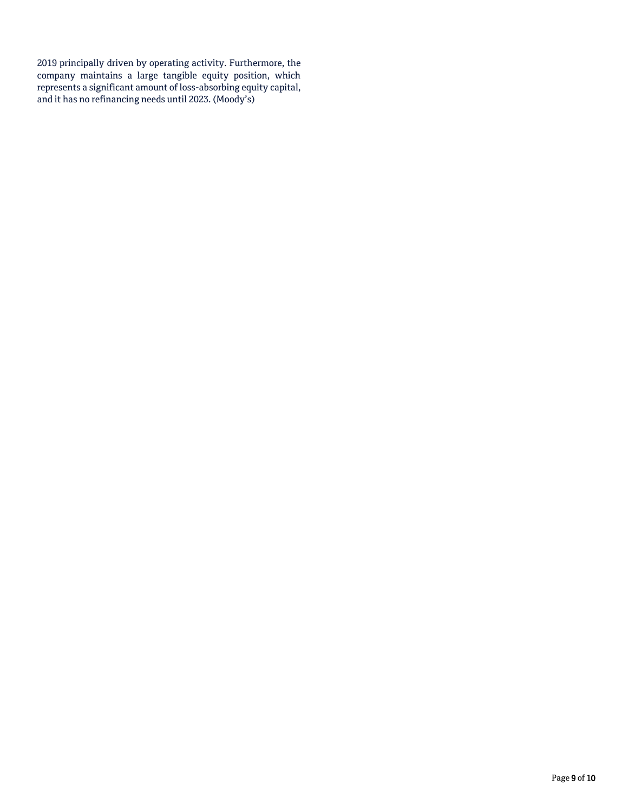2019 principally driven by operating activity. Furthermore, the company maintains a large tangible equity position, which represents a significant amount of loss-absorbing equity capital, and it has no refinancing needs until 2023. (Moody's)